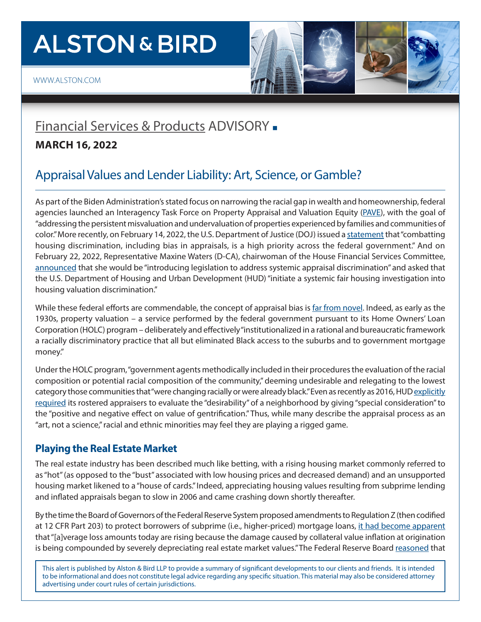# **ALSTON & BIRD**

## [Financial Services & Products](https://www.alston.com/en/services/industries/finance-financial-services/financial-services--products) ADVISORY -

#### **MARCH 16, 2022**

### Appraisal Values and Lender Liability: Art, Science, or Gamble?

As part of the Biden Administration's stated focus on narrowing the racial gap in wealth and homeownership, federal agencies launched an Interagency Task Force on Property Appraisal and Valuation Equity [\(PAVE\)](https://pave.hud.gov/), with the goal of "addressing the persistent misvaluation and undervaluation of properties experienced by families and communities of color." More recently, on February 14, 2022, the U.S. Department of Justice (DOJ) issued a [statement](https://www.justice.gov/crt/case/statement-interest-austin-et-al-v-miller-et-al) that "combatting housing discrimination, including bias in appraisals, is a high priority across the federal government." And on February 22, 2022, Representative Maxine Waters (D-CA), chairwoman of the House Financial Services Committee, [announced](https://financialservices.house.gov/uploadedfiles/022222_appr_invest_ltr.pdf) that she would be "introducing legislation to address systemic appraisal discrimination" and asked that the U.S. Department of Housing and Urban Development (HUD) "initiate a systemic fair housing investigation into housing valuation discrimination."

While these federal efforts are commendable, the concept of appraisal bias is [far from novel.](https://studylib.net/doc/8334026/oliver-shapiro) Indeed, as early as the 1930s, property valuation – a service performed by the federal government pursuant to its Home Owners' Loan Corporation (HOLC) program – deliberately and effectively "institutionalized in a rational and bureaucratic framework a racially discriminatory practice that all but eliminated Black access to the suburbs and to government mortgage money."

Under the HOLC program, "government agents methodically included in their procedures the evaluation of the racial composition or potential racial composition of the community," deeming undesirable and relegating to the lowest category those communities that "were changing racially or were already black." Even as recently as 2016, HUD [explicitly](https://www.hud.gov/sites/documents/41502C2HSGH.PDF) [required](https://www.hud.gov/sites/documents/41502C2HSGH.PDF) its rostered appraisers to evaluate the "desirability" of a neighborhood by giving "special consideration" to the "positive and negative effect on value of gentrification." Thus, while many describe the appraisal process as an "art, not a science," racial and ethnic minorities may feel they are playing a rigged game.

#### **Playing the Real Estate Market**

The real estate industry has been described much like betting, with a rising housing market commonly referred to as "hot" (as opposed to the "bust" associated with low housing prices and decreased demand) and an unsupported housing market likened to a "house of cards." Indeed, appreciating housing values resulting from subprime lending and inflated appraisals began to slow in 2006 and came crashing down shortly thereafter.

By the time the Board of Governors of the Federal Reserve System proposed amendments to Regulation Z (then codified at 12 CFR Part 203) to protect borrowers of subprime (i.e., higher-priced) mortgage loans, [it had become apparent](https://www.ojp.gov/pdffiles1/nij/242227.pdf) that "[a]verage loss amounts today are rising because the damage caused by collateral value inflation at origination is being compounded by severely depreciating real estate market values." The Federal Reserve Board [reasoned](https://www.federalregister.gov/documents/2008/07/30/E8-16500/truth-in-lending) that

This alert is published by Alston & Bird LLP to provide a summary of significant developments to our clients and friends. It is intended to be informational and does not constitute legal advice regarding any specific situation. This material may also be considered attorney advertising under court rules of certain jurisdictions.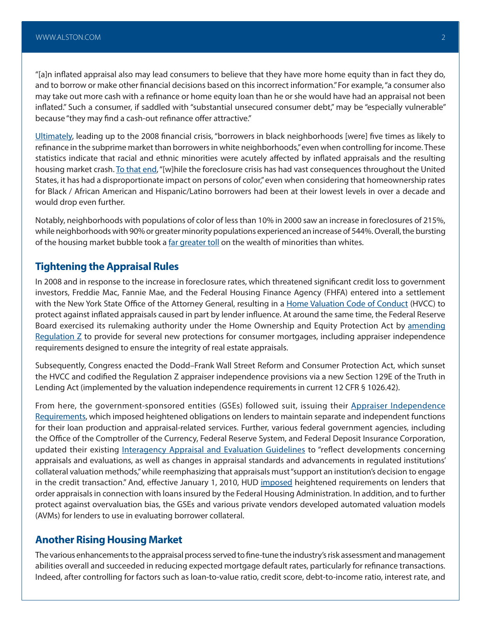"[a]n inflated appraisal also may lead consumers to believe that they have more home equity than in fact they do, and to borrow or make other financial decisions based on this incorrect information." For example, "a consumer also may take out more cash with a refinance or home equity loan than he or she would have had an appraisal not been inflated." Such a consumer, if saddled with "substantial unsecured consumer debt," may be "especially vulnerable" because "they may find a cash-out refinance offer attractive."

[Ultimately,](https://www.huduser.gov/portal/Publications/pdf/treasrpt.pdf) leading up to the 2008 financial crisis, "borrowers in black neighborhoods [were] five times as likely to refinance in the subprime market than borrowers in white neighborhoods," even when controlling for income. These statistics indicate that racial and ethnic minorities were acutely affected by inflated appraisals and the resulting housing market crash. [To that end](https://ncrc.org/wp-content/uploads/2011/10/ncrc_foreclosurewhitepaper_2011.pdf), "[w]hile the foreclosure crisis has had vast consequences throughout the United States, it has had a disproportionate impact on persons of color," even when considering that homeownership rates for Black / African American and Hispanic/Latino borrowers had been at their lowest levels in over a decade and would drop even further.

Notably, neighborhoods with populations of color of less than 10% in 2000 saw an increase in foreclosures of 215%, while neighborhoods with 90% or greater minority populations experienced an increase of 544%. Overall, the bursting of the housing market bubble took a [far greater toll](https://www.pewresearch.org/social-trends/2011/07/26/wealth-gaps-rise-to-record-highs-between-whites-blacks-hispanics/) on the wealth of minorities than whites.

#### **Tightening the Appraisal Rules**

In 2008 and in response to the increase in foreclosure rates, which threatened significant credit loss to government investors, Freddie Mac, Fannie Mae, and the Federal Housing Finance Agency (FHFA) entered into a settlement with the New York State Office of the Attorney General, resulting in a [Home Valuation Code of Conduct](https://www.fhfa.gov/Media/PublicAffairs/Pages/FHFA-Announces-Home-Valuation-Code-of-Conduct.aspx) (HVCC) to protect against inflated appraisals caused in part by lender influence. At around the same time, the Federal Reserve Board exercised its rulemaking authority under the Home Ownership and Equity Protection Act by [amending](https://www.federalregister.gov/documents/2008/07/30/E8-16500/truth-in-lending) Regulation  $Z$  to provide for several new protections for consumer mortgages, including appraiser independence requirements designed to ensure the integrity of real estate appraisals.

Subsequently, Congress enacted the Dodd–Frank Wall Street Reform and Consumer Protection Act, which sunset the HVCC and codified the Regulation Z appraiser independence provisions via a new Section 129E of the Truth in Lending Act (implemented by the valuation independence requirements in current 12 CFR § 1026.42).

From here, the government-sponsored entities (GSEs) followed suit, issuing their [Appraiser Independence](https://singlefamily.fanniemae.com/media/4711/display) [Requirements,](https://singlefamily.fanniemae.com/media/4711/display) which imposed heightened obligations on lenders to maintain separate and independent functions for their loan production and appraisal-related services. Further, various federal government agencies, including the Office of the Comptroller of the Currency, Federal Reserve System, and Federal Deposit Insurance Corporation, updated their existing [Interagency Appraisal and Evaluation Guidelines](https://www.federalregister.gov/documents/2010/12/10/2010-30913/interagency-appraisal-and-evaluation-guidelines) to "reflect developments concerning appraisals and evaluations, as well as changes in appraisal standards and advancements in regulated institutions' collateral valuation methods," while reemphasizing that appraisals must "support an institution's decision to engage in the credit transaction." And, effective January 1, 2010, HUD [imposed](https://www.hud.gov/sites/documents/09-28ML.PDF) heightened requirements on lenders that order appraisals in connection with loans insured by the Federal Housing Administration. In addition, and to further protect against overvaluation bias, the GSEs and various private vendors developed automated valuation models (AVMs) for lenders to use in evaluating borrower collateral.

#### **Another Rising Housing Market**

The various enhancements to the appraisal process served to fine-tune the industry's risk assessment and management abilities overall and succeeded in reducing expected mortgage default rates, particularly for refinance transactions. Indeed, after controlling for factors such as loan-to-value ratio, credit score, debt-to-income ratio, interest rate, and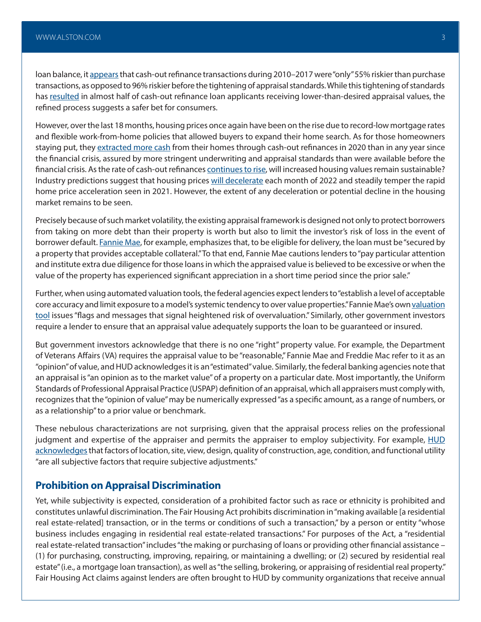loan balance, it [appears](https://www.urban.org/urban-wire/significantly-improved-appraisal-process-has-reduced-riskiness-refinance-mortgages) that cash-out refinance transactions during 2010–2017 were "only" 55% riskier than purchase transactions, as opposed to 96% riskier before the tightening of appraisal standards. While this tightening of standards has [resulted](https://www.aeaweb.org/conference/2021/preliminary/paper/8ZBQTHQ5) in almost half of cash-out refinance loan applicants receiving lower-than-desired appraisal values, the refined process suggests a safer bet for consumers.

However, over the last 18 months, housing prices once again have been on the rise due to record-low mortgage rates and flexible work-from-home policies that allowed buyers to expand their home search. As for those homeowners staying put, they [extracted more cash](https://www.wsj.com/articles/cash-out-refinancings-hit-highest-level-since-financial-crisis-11615458602) from their homes through cash-out refinances in 2020 than in any year since the financial crisis, assured by more stringent underwriting and appraisal standards than were available before the financial crisis. As the rate of cash-out refinances [continues to rise](https://www.freddiemac.com/research/insight/20211029-refinance-trends), will increased housing values remain sustainable? Industry predictions suggest that housing prices [will decelerate](https://www.corelogic.com/intelligence/u-s-home-price-insights/#:~:text=Still%2C%20the%20CoreLogic%20HPI%20Forecast,of%203.5%25%20by%20December%202022) each month of 2022 and steadily temper the rapid home price acceleration seen in 2021. However, the extent of any deceleration or potential decline in the housing market remains to be seen.

Precisely because of such market volatility, the existing appraisal framework is designed not only to protect borrowers from taking on more debt than their property is worth but also to limit the investor's risk of loss in the event of borrower default. [Fannie Mae,](https://singlefamily.fanniemae.com/media/30831/display) for example, emphasizes that, to be eligible for delivery, the loan must be "secured by a property that provides acceptable collateral." To that end, Fannie Mae cautions lenders to "pay particular attention and institute extra due diligence for those loans in which the appraised value is believed to be excessive or when the value of the property has experienced significant appreciation in a short time period since the prior sale."

Further, when using automated valuation tools, the federal agencies expect lenders to "establish a level of acceptable core accuracy and limit exposure to a model's systemic tendency to over value properties." Fannie Mae's own valuation [tool](https://singlefamily.fanniemae.com/media/20576/display) issues "flags and messages that signal heightened risk of overvaluation." Similarly, other government investors require a lender to ensure that an appraisal value adequately supports the loan to be guaranteed or insured.

But government investors acknowledge that there is no one "right" property value. For example, the Department of Veterans Affairs (VA) requires the appraisal value to be "reasonable," Fannie Mae and Freddie Mac refer to it as an "opinion" of value, and HUD acknowledges it is an "estimated" value. Similarly, the federal banking agencies note that an appraisal is "an opinion as to the market value" of a property on a particular date. Most importantly, the Uniform Standards of Professional Appraisal Practice (USPAP) definition of an appraisal, which all appraisers must comply with, recognizes that the "opinion of value" may be numerically expressed "as a specific amount, as a range of numbers, or as a relationship" to a prior value or benchmark.

These nebulous characterizations are not surprising, given that the appraisal process relies on the professional judgment and expertise of the appraiser and permits the appraiser to employ subjectivity. For example, **HUD** [acknowledges](https://www.hud.gov/sites/documents/41502APPDHSGH.PDF) that factors of location, site, view, design, quality of construction, age, condition, and functional utility "are all subjective factors that require subjective adjustments."

#### **Prohibition on Appraisal Discrimination**

Yet, while subjectivity is expected, consideration of a prohibited factor such as race or ethnicity is prohibited and constitutes unlawful discrimination. The Fair Housing Act prohibits discrimination in "making available [a residential real estate-related] transaction, or in the terms or conditions of such a transaction," by a person or entity "whose business includes engaging in residential real estate-related transactions." For purposes of the Act, a "residential real estate-related transaction" includes "the making or purchasing of loans or providing other financial assistance – (1) for purchasing, constructing, improving, repairing, or maintaining a dwelling; or (2) secured by residential real estate" (i.e., a mortgage loan transaction), as well as "the selling, brokering, or appraising of residential real property." Fair Housing Act claims against lenders are often brought to HUD by community organizations that receive annual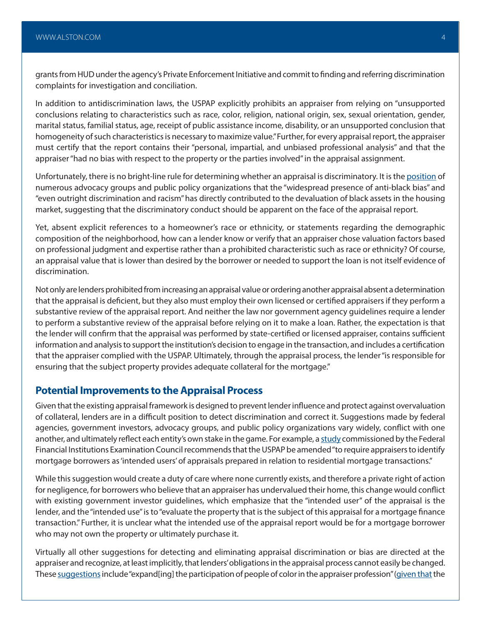grants from HUD under the agency's Private Enforcement Initiative and commit to finding and referring discrimination complaints for investigation and conciliation.

In addition to antidiscrimination laws, the USPAP explicitly prohibits an appraiser from relying on "unsupported conclusions relating to characteristics such as race, color, religion, national origin, sex, sexual orientation, gender, marital status, familial status, age, receipt of public assistance income, disability, or an unsupported conclusion that homogeneity of such characteristics is necessary to maximize value." Further, for every appraisal report, the appraiser must certify that the report contains their "personal, impartial, and unbiased professional analysis" and that the appraiser "had no bias with respect to the property or the parties involved" in the appraisal assignment.

Unfortunately, there is no bright-line rule for determining whether an appraisal is discriminatory. It is the [position](https://www.congress.gov/116/meeting/house/109685/witnesses/HHRG-116-BA04-Wstate-PerryA-20190620.pdf) of numerous advocacy groups and public policy organizations that the "widespread presence of anti-black bias" and "even outright discrimination and racism" has directly contributed to the devaluation of black assets in the housing market, suggesting that the discriminatory conduct should be apparent on the face of the appraisal report.

Yet, absent explicit references to a homeowner's race or ethnicity, or statements regarding the demographic composition of the neighborhood, how can a lender know or verify that an appraiser chose valuation factors based on professional judgment and expertise rather than a prohibited characteristic such as race or ethnicity? Of course, an appraisal value that is lower than desired by the borrower or needed to support the loan is not itself evidence of discrimination.

Not only are lenders prohibited from increasing an appraisal value or ordering another appraisal absent a determination that the appraisal is deficient, but they also must employ their own licensed or certified appraisers if they perform a substantive review of the appraisal report. And neither the law nor government agency guidelines require a lender to perform a substantive review of the appraisal before relying on it to make a loan. Rather, the expectation is that the lender will confirm that the appraisal was performed by state-certified or licensed appraiser, contains sufficient information and analysis to support the institution's decision to engage in the transaction, and includes a certification that the appraiser complied with the USPAP. Ultimately, through the appraisal process, the lender "is responsible for ensuring that the subject property provides adequate collateral for the mortgage."

#### **Potential Improvements to the Appraisal Process**

Given that the existing appraisal framework is designed to prevent lender influence and protect against overvaluation of collateral, lenders are in a difficult position to detect discrimination and correct it. Suggestions made by federal agencies, government investors, advocacy groups, and public policy organizations vary widely, conflict with one another, and ultimately reflect each entity's own stake in the game. For example, a [study](https://nationalfairhousing.org/wp-content/uploads/2022/01/2022-01-18-NFHA-et-al_Analysis-of-Appraisal-Standards-and-Appraiser-Criteria_FINAL.pdf) commissioned by the Federal Financial Institutions Examination Council recommends that the USPAP be amended "to require appraisers to identify mortgage borrowers as 'intended users' of appraisals prepared in relation to residential mortgage transactions."

While this suggestion would create a duty of care where none currently exists, and therefore a private right of action for negligence, for borrowers who believe that an appraiser has undervalued their home, this change would conflict with existing government investor guidelines, which emphasize that the "intended user" of the appraisal is the lender, and the "intended use" is to "evaluate the property that is the subject of this appraisal for a mortgage finance transaction." Further, it is unclear what the intended use of the appraisal report would be for a mortgage borrower who may not own the property or ultimately purchase it.

Virtually all other suggestions for detecting and eliminating appraisal discrimination or bias are directed at the appraiser and recognize, at least implicitly, that lenders' obligations in the appraisal process cannot easily be changed. These [suggestions](https://www.fanniemae.com/media/42541/display) include "expand[ing] the participation of people of color in the appraiser profession" ([given that](https://www.appraisalinstitute.org/file.aspx?DocumentId=2342) the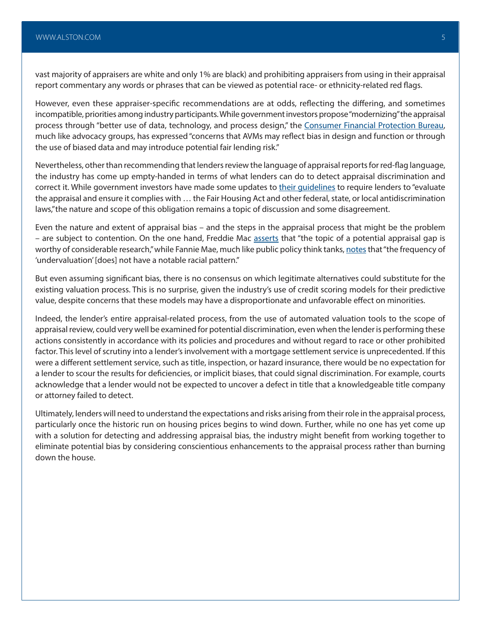vast majority of appraisers are white and only 1% are black) and prohibiting appraisers from using in their appraisal report commentary any words or phrases that can be viewed as potential race- or ethnicity-related red flags.

However, even these appraiser-specific recommendations are at odds, reflecting the differing, and sometimes incompatible, priorities among industry participants. While government investors propose "modernizing" the appraisal process through "better use of data, technology, and process design," the [Consumer Financial Protection Bureau,](https://files.consumerfinance.gov/f/documents/cfpb_avm_outline-of-proposals_2022-02.pdf) much like advocacy groups, has expressed "concerns that AVMs may reflect bias in design and function or through the use of biased data and may introduce potential fair lending risk."

Nevertheless, other than recommending that lenders review the language of appraisal reports for red-flag language, the industry has come up empty-handed in terms of what lenders can do to detect appraisal discrimination and correct it. While government investors have made some updates to their quidelines to require lenders to "evaluate the appraisal and ensure it complies with … the Fair Housing Act and other federal, state, or local antidiscrimination laws,"the nature and scope of this obligation remains a topic of discussion and some disagreement.

Even the nature and extent of appraisal bias – and the steps in the appraisal process that might be the problem – are subject to contention. On the one hand, Freddie Mac [asserts](https://www.freddiemac.com/research/insight/20210920-home-appraisals) that "the topic of a potential appraisal gap is worthy of considerable research," while Fannie Mae, much like public policy think tanks, [notes](https://www.fanniemae.com/media/42541/display) that "the frequency of 'undervaluation' [does] not have a notable racial pattern."

But even assuming significant bias, there is no consensus on which legitimate alternatives could substitute for the existing valuation process. This is no surprise, given the industry's use of credit scoring models for their predictive value, despite concerns that these models may have a disproportionate and unfavorable effect on minorities.

Indeed, the lender's entire appraisal-related process, from the use of automated valuation tools to the scope of appraisal review, could very well be examined for potential discrimination, even when the lender is performing these actions consistently in accordance with its policies and procedures and without regard to race or other prohibited factor. This level of scrutiny into a lender's involvement with a mortgage settlement service is unprecedented. If this were a different settlement service, such as title, inspection, or hazard insurance, there would be no expectation for a lender to scour the results for deficiencies, or implicit biases, that could signal discrimination. For example, courts acknowledge that a lender would not be expected to uncover a defect in title that a knowledgeable title company or attorney failed to detect.

Ultimately, lenders will need to understand the expectations and risks arising from their role in the appraisal process, particularly once the historic run on housing prices begins to wind down. Further, while no one has yet come up with a solution for detecting and addressing appraisal bias, the industry might benefit from working together to eliminate potential bias by considering conscientious enhancements to the appraisal process rather than burning down the house.